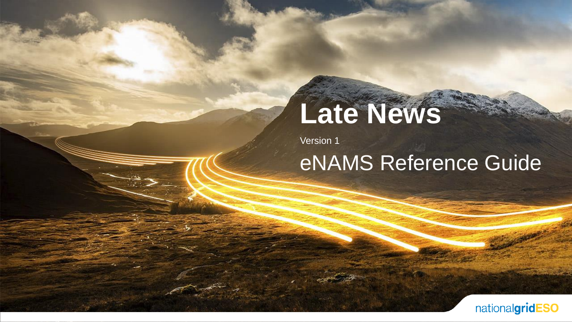# **Late News**

Version 1

#### eNAMS Reference Guide

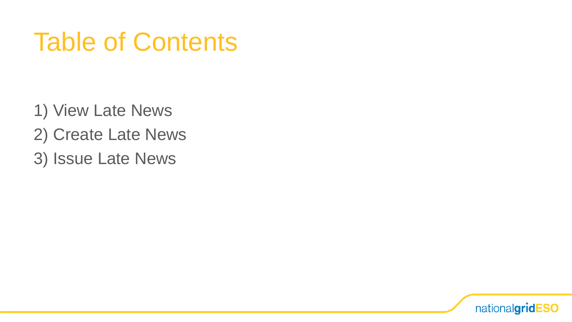# Table of Contents

- 1) View Late News
- 2) Create Late News
- 3) Issue Late News

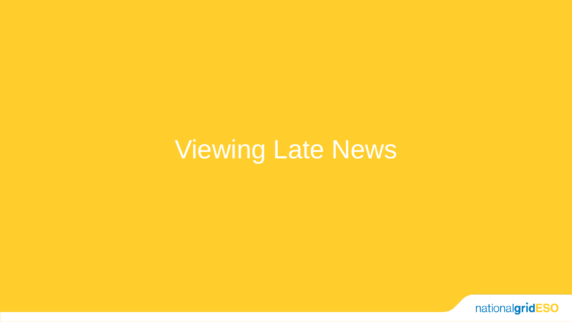# Viewing Late News

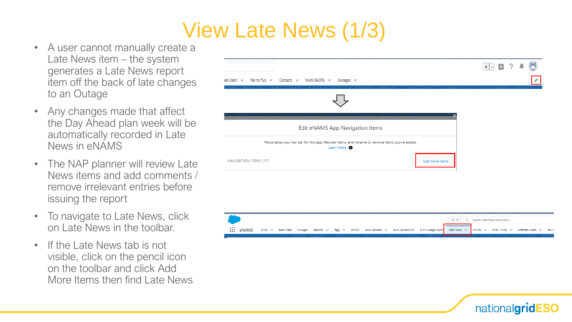#### View Late News (1/3)

- A user cannot manually create a Late News item – the system generates a Late News report item off the back of late changes to an Outage
- Any changes made that affect the Day Ahead plan week will be automatically recorded in Late News in eNAMS
- The NAP planner will review Late News items and add comments / remove irrelevant entries before issuing the report
- To navigate to Late News, click on Late News in the toolbar.
- If the Late News tab is not visible, click on the pencil icon on the toolbar and click Add More Items then find Late News





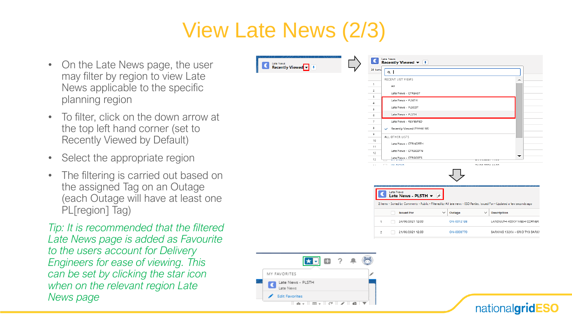#### View Late News (2/3)

**C** Late News<br> **Recently Viewed**  $\overline{\mathbf{v}}$ 

- On the Late News page, the user may filter by region to view Late News applicable to the specific planning region
- To filter, click on the down arrow at the top left hand corner (set to Recently Viewed by Default)
- Select the appropriate region
- The filtering is carried out based on the assigned Tag on an Outage (each Outage will have at least one PL[region] Tag)

*Tip: It is recommended that the filtered Late News page is added as Favourite to the users account for Delivery Engineers for ease of viewing. This can be set by clicking the star icon when on the relevant region Late News page*



nationalgridESO

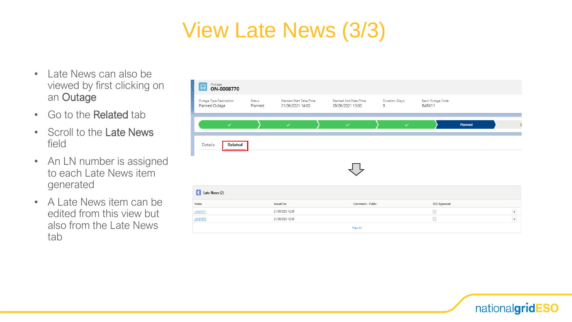### View Late News (3/3)

- Late News can also be viewed by first clicking on an Outage
- Go to the Related tab
- Scroll to the Late News field
- An LN number is assigned to each Late News item generated
- A Late News item can be edited from this view but also from the Late News tab

| <b>Outage</b><br>ON-0008770<br>므          |                   |                                             |                                           |                      |                             |         |                         |
|-------------------------------------------|-------------------|---------------------------------------------|-------------------------------------------|----------------------|-----------------------------|---------|-------------------------|
| Outage Type Description<br>Planned Outage | Status<br>Planned | Planned Start Date/Time<br>21/06/2021 14:00 | Planned End Date/Time<br>29/06/2021 13:00 | Duration (Days)<br>9 | Basic Outage Code<br>BARK11 |         |                         |
| $\checkmark$                              |                   | $\checkmark$                                | $\checkmark$                              | $\checkmark$         |                             | Planned | S                       |
| Details<br>Related                        |                   |                                             |                                           |                      |                             |         |                         |
|                                           |                   |                                             |                                           |                      |                             |         |                         |
|                                           |                   |                                             |                                           |                      |                             |         |                         |
| Late News (2)                             |                   |                                             |                                           |                      |                             |         |                         |
| Name                                      |                   | <b>Issued For</b>                           | Comments - Public                         |                      | <b>ESO Approved</b>         |         |                         |
| LN-01371                                  |                   | 21/06/2021 12:00                            |                                           |                      | $\Box$                      |         | $\overline{\mathbf{v}}$ |
| LN-01372                                  |                   | 21/06/2021 12:00                            |                                           |                      | $\Box$                      |         | $\overline{\mathbf{v}}$ |
|                                           |                   |                                             | View All                                  |                      |                             |         |                         |

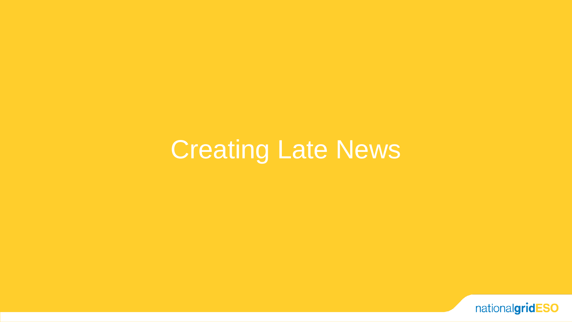# Creating Late News

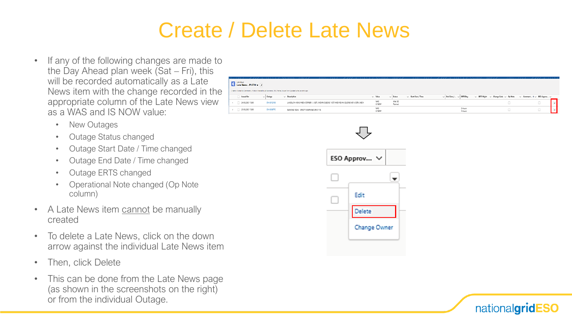#### Create / Delete Late News

- If any of the following changes are made to the Day Ahead plan week (Sat – Fri), this will be recorded automatically as a Late News item with the change recorded in the appropriate column of the Late News view as a WAS and IS NOW value:
	- New Outages
	- Outage Status changed
	- Outage Start Date / Time changed
	- Outage End Date / Time changed
	- Outage ERTS changed
	- Operational Note changed (Op Note column)
- A Late News item cannot be manually created
- To delete a Late News, click on the down arrow against the individual Late News item
- Then, click Delete
- This can be done from the Late News page (as shown in the screenshots on the right) or from the individual Outage.

| <b>Carl Late News</b><br><b>Late News - PLSTH</b> $\star$ $\neq$                                                       |               |                                                                                             |                      |                     |                          |                                   |                    |                                                     |                                                 |  |
|------------------------------------------------------------------------------------------------------------------------|---------------|---------------------------------------------------------------------------------------------|----------------------|---------------------|--------------------------|-----------------------------------|--------------------|-----------------------------------------------------|-------------------------------------------------|--|
| 2 items - Sorted by Comments - Public - Fibered by All late news - ESO Parties, housed For - Updated a few seconds ago |               |                                                                                             |                      |                     |                          |                                   |                    |                                                     |                                                 |  |
| <b>Issued For</b>                                                                                                      | $\vee$ Outage | $\vee$ Description                                                                          | $\vee$ Value         | $\vee$ Status       | $\vee$ Start Date / Time | $\vee$ End Date / $\vee$ ERTS Day |                    | $\vee$ ERTS Night $\vee$ Change Code $\vee$ Op Note | $\vee$ Comment $\dagger \vee$ ESO Approv $\vee$ |  |
| 24/06/2021 12:00                                                                                                       | DN 0012198    | LANDULPH 400KV MESH CORNER 1 / SGT1, INDIAN OLEENS 1 CCT AND INDIAN OLEENS MC 4, SGT4, MSC4 | <b>WAS</b><br>IS NOW | With SCI<br>Planned |                          |                                   |                    |                                                     |                                                 |  |
| 21/06/2021 12:00                                                                                                       | DN 0008770    | BARXING 132KV - GRID T1B BARXING GRID 110.                                                  | WAS<br>IS NOW        |                     |                          |                                   | 2 Hours<br>A Mount |                                                     |                                                 |  |



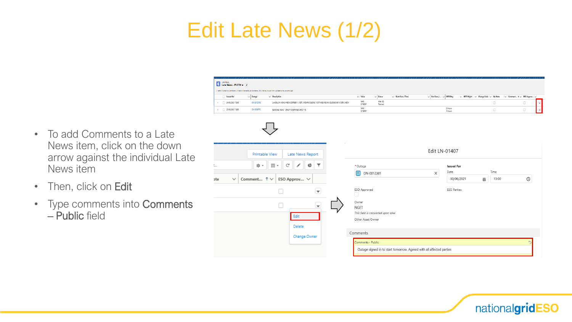#### Edit Late News (1/2)

News item

– Public field

• Then, click on Edit

Late News - PLSTH + \* items . Sorted by Comments - Public I late news - ESO Parties, housed for . Undated a few seconds a Issued For  $\vee$  Outage  $\smile$  Description  $\vee$  Value  $\vee$  Status  $\vee$  Start Date / Time  $\vee$  End Date / ...  $\vee$  ERTS Day  $\sqrt{\phantom{a}}$  ERTS Night  $\phantom{a}$   $\sqrt{\phantom{a}}$  Change Code  $\phantom{a}$   $\sqrt{\phantom{a}}$  Op Note  $\vee$  Comment...  $\dagger \vee$  ESO Approv... With SO WAS<br>IS NOW 1 24/06/2021 12:00 ON 0012198 LANDULPH 400KV MESH CORNER 1 / SGT1, INDIAN OLEENS 1 CCT AND INDIAN OLEENS MC 4, SGT4, MSC4 Planned  $\overline{\phantom{a}}$ WAS<br>IS NOW 2 Hours<br>4 Hours  $\Box$  $2$  21/06/2021 12:00 DN 0008770 BARKING 132KV - GRID TIB BARKING GRID 110.  $\Box$ • To add Comments to a Late News item, click on the down Edit LN-01407 **Printable View** Late News Report arrow against the individual Late  $\overline{\mathbb{H}}$  .  $\mathsf{C}^{\mathsf{I}}$ t... ☆▼  $\overline{\phantom{a}}$ **CT** \* Outage **Issued For** Time  $\Box$  ON-0012301 Date  $\vert x \vert$ 30/06/2021 ■ 13:00  $\circledcirc$ ote Comment...  $\uparrow \vee$ ESO Approv... V v ESO Approved **ESO Parties**  $\Box$  $\overline{\mathbf{v}}$ • Type comments into Comments Owner  $\Box$  $\overline{\phantom{a}}$ **NGET** This field is calculated upon save Edit Other Asset Owner Delete Comments Change Owner Comments - Public Outage signed in to start tomorrow. Agreed with all affected parties

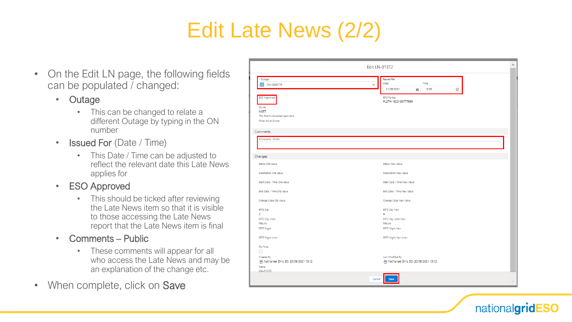### Edit Late News (2/2)

- On the Edit LN page, the following fields can be populated / changed:
	- Outage
		- This can be changed to relate a different Outage by typing in the ON number
	- Issued For (Date / Time)
		- This Date / Time can be adjusted to reflect the relevant date this Late News applies for
	- ESO Approved
		- This should be ticked after reviewing the Late News item so that it is visible to those accessing the Late News report that the Late News item is final
	- Comments Public
		- These comments will appear for all who access the Late News and may be an explanation of the change etc.
- When complete, click on Save

| Edit LN-01372                                                                            |                                                                                      |  |  |  |  |  |
|------------------------------------------------------------------------------------------|--------------------------------------------------------------------------------------|--|--|--|--|--|
| * Outage<br>ON-0008770                                                                   | <b>Issued For</b><br>Date<br>Time<br>$\times$<br>$\odot$<br>21/06/2021<br>盖<br>12:00 |  |  |  |  |  |
| ESO Approved<br>Owner<br>NGET<br>This field is calculated upon save<br>Other Asset Owner | <b>ESO Parties</b><br>PLSTH 1623163777999                                            |  |  |  |  |  |
| Comments<br>Comments - Public                                                            |                                                                                      |  |  |  |  |  |
| Changes                                                                                  |                                                                                      |  |  |  |  |  |
| Status Old Value                                                                         | Status New Value                                                                     |  |  |  |  |  |
| Description Old Value                                                                    | Description New Value                                                                |  |  |  |  |  |
| Start Date / Time Old Value                                                              | Start Date / Time New Value                                                          |  |  |  |  |  |
| End Date / Time Old Value                                                                | End Date / Time New Value                                                            |  |  |  |  |  |
| Change Code Old Value                                                                    | Change Code New Value                                                                |  |  |  |  |  |
| ERTS Day<br>$\overline{2}$                                                               | ERTS Day New<br>$\overline{4}$                                                       |  |  |  |  |  |
| ERTS Day Units<br>Hours<br>ERTS Night                                                    | ERTS Day Units New<br>Hours<br>ERTS Night New                                        |  |  |  |  |  |
| ERTS Night Units                                                                         | ERTS Night New Units                                                                 |  |  |  |  |  |
| Op Note<br>$\Box$                                                                        |                                                                                      |  |  |  |  |  |
| Created By<br>Nathanael Sims SO, 20/06/2021 13:12<br>Name                                | Last Modified By<br>Nathanael Sims SO, 20/06/2021 13:12                              |  |  |  |  |  |
| LN-01372                                                                                 |                                                                                      |  |  |  |  |  |

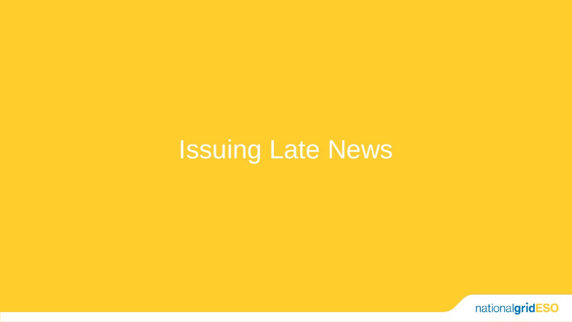# Issuing Late News

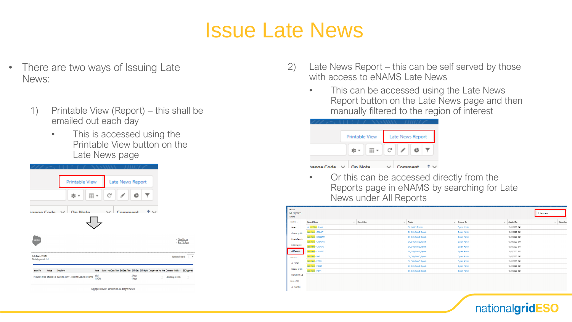#### Issue Late News

- There are two ways of Issuing Late News:
	- 1) Printable View (Report) this shall be emailed out each day
		- This is accessed using the Printable View button on the Late News page



- 2) Late News Report this can be self served by those with access to eNAMS Late News
	- This can be accessed using the Late News Report button on the Late News page and then manually filtered to the region of interest



• Or this can be accessed directly from the Reports page in eNAMS by searching for Late News under All Reports

| Reports<br>All Reports<br>10 items |                      |              |                             |                             |                   |                   | Q Late news          |
|------------------------------------|----------------------|--------------|-----------------------------|-----------------------------|-------------------|-------------------|----------------------|
| <b>REPORTS</b>                     | <b>Report Name</b>   | $\checkmark$ | Description<br>$\checkmark$ | Folder                      | $\vee$ Created By | $\vee$ Created On | Subscribed<br>$\vee$ |
| Recent                             | All Late News Report |              |                             | EN_eNAMS_Reports            | System Admin      | 18/11/2020, 3:41  |                      |
| Created by Me                      | Late News - CTREAST  |              |                             | EN_ESO_eNAMS_Reports        | System Admin      | 18/11/2020 3:41   |                      |
| Private Reports                    | Late News - CTRNORTH |              |                             | EN_ESO_eNAMS_Reports        | System Admin      | 18/11/2020 3:41   |                      |
|                                    | Late News - CTRSCOTN |              |                             | <b>EN_ESO_eNAMS_Reports</b> | System Admin      | 18/11/2020, 3:41  |                      |
| <b>Public Reports</b>              | Late News - CTRSCOTS |              |                             | EN_ESO_eNAMS_Reports        | System Admin      | 18/11/2020, 3:41  |                      |
| <b>All Reports</b>                 | Late News - CTRWEST  |              |                             | EN_ESO_eNAMS_Reports        | System Admin      | 18/11/2020 3:41   |                      |
| <b>FOLDERS</b>                     | Late News - NAT      |              |                             | EN_ESO_eNAMS_Reports        | System Admin      | 18/11/2020. 3:41  |                      |
| All Folders                        | Late News - PLNTH    |              |                             | EN_ESO_eNAMS_Reports        | System Admin      | 18/11/2020, 3:41  |                      |
|                                    | Late News - PLSCOT   |              |                             | EN_ESO_eNAMS_Reports        | System Admin      | 18/11/2020, 3:41  |                      |
| Created by Me                      | Late News - PLSTH    |              |                             | EN_ESO_eNAMS_Reports        | System Admin      | 18/11/2020, 3:41  |                      |
| Shared with Me                     |                      |              |                             |                             |                   |                   |                      |
| <b>FAVORITES</b>                   |                      |              |                             |                             |                   |                   |                      |
| All Favorites                      |                      |              |                             |                             |                   |                   |                      |

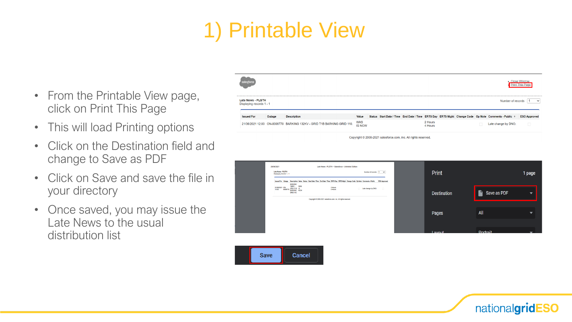#### 1) Printable View

- From the Printable View page, click on Print This Page
- This will load Printing options
- Click on the Destination field and change to Save as PDF
- Click on Save and save the file in your directory
- Once saved, you may issue the Late News to the usual distribution list



Copyright © 2000-2021 salesforce.com, inc. All rights reserved.



nationalgridESO